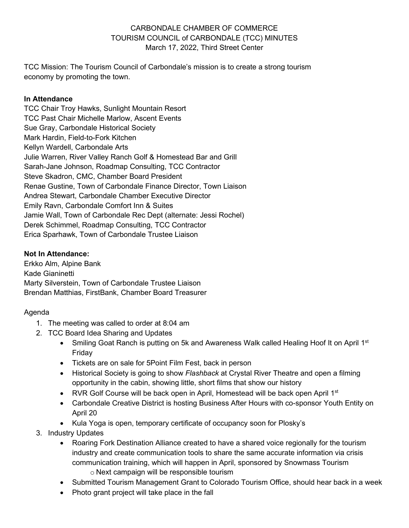## CARBONDALE CHAMBER OF COMMERCE TOURISM COUNCIL of CARBONDALE (TCC) MINUTES March 17, 2022, Third Street Center

TCC Mission: The Tourism Council of Carbondale's mission is to create a strong tourism economy by promoting the town.

## **In Attendance**

TCC Chair Troy Hawks, Sunlight Mountain Resort TCC Past Chair Michelle Marlow, Ascent Events Sue Gray, Carbondale Historical Society Mark Hardin, Field-to-Fork Kitchen Kellyn Wardell, Carbondale Arts Julie Warren, River Valley Ranch Golf & Homestead Bar and Grill Sarah-Jane Johnson, Roadmap Consulting, TCC Contractor Steve Skadron, CMC, Chamber Board President Renae Gustine, Town of Carbondale Finance Director, Town Liaison Andrea Stewart, Carbondale Chamber Executive Director Emily Ravn, Carbondale Comfort Inn & Suites Jamie Wall, Town of Carbondale Rec Dept (alternate: Jessi Rochel) Derek Schimmel, Roadmap Consulting, TCC Contractor Erica Sparhawk, Town of Carbondale Trustee Liaison

## **Not In Attendance:**

Erkko Alm, Alpine Bank Kade Gianinetti Marty Silverstein, Town of Carbondale Trustee Liaison Brendan Matthias, FirstBank, Chamber Board Treasurer

# Agenda

- 1. The meeting was called to order at 8:04 am
- 2. TCC Board Idea Sharing and Updates
	- Smiling Goat Ranch is putting on 5k and Awareness Walk called Healing Hoof It on April  $1<sup>st</sup>$ Friday
	- Tickets are on sale for 5Point Film Fest, back in person
	- Historical Society is going to show *Flashback* at Crystal River Theatre and open a filming opportunity in the cabin, showing little, short films that show our history
	- RVR Golf Course will be back open in April, Homestead will be back open April  $1<sup>st</sup>$
	- Carbondale Creative District is hosting Business After Hours with co-sponsor Youth Entity on April 20
	- Kula Yoga is open, temporary certificate of occupancy soon for Plosky's
- 3. Industry Updates
	- Roaring Fork Destination Alliance created to have a shared voice regionally for the tourism industry and create communication tools to share the same accurate information via crisis communication training, which will happen in April, sponsored by Snowmass Tourism o Next campaign will be responsible tourism
	- Submitted Tourism Management Grant to Colorado Tourism Office, should hear back in a week
	- Photo grant project will take place in the fall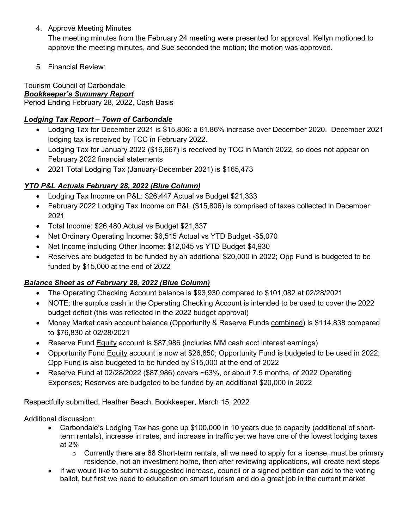4. Approve Meeting Minutes

The meeting minutes from the February 24 meeting were presented for approval. Kellyn motioned to approve the meeting minutes, and Sue seconded the motion; the motion was approved.

5. Financial Review:

Tourism Council of Carbondale *Bookkeeper's Summary Report* Period Ending February 28, 2022, Cash Basis

## *Lodging Tax Report – Town of Carbondale*

- Lodging Tax for December 2021 is \$15,806: a 61.86% increase over December 2020. December 2021 lodging tax is received by TCC in February 2022.
- Lodging Tax for January 2022 (\$16,667) is received by TCC in March 2022, so does not appear on February 2022 financial statements
- 2021 Total Lodging Tax (January-December 2021) is \$165,473

# *YTD P&L Actuals February 28, 2022 (Blue Column)*

- Lodging Tax Income on P&L: \$26,447 Actual vs Budget \$21,333
- February 2022 Lodging Tax Income on P&L (\$15,806) is comprised of taxes collected in December 2021
- Total Income: \$26,480 Actual vs Budget \$21,337
- Net Ordinary Operating Income: \$6,515 Actual vs YTD Budget -\$5,070
- Net Income including Other Income: \$12,045 vs YTD Budget \$4,930
- Reserves are budgeted to be funded by an additional \$20,000 in 2022; Opp Fund is budgeted to be funded by \$15,000 at the end of 2022

## *Balance Sheet as of February 28, 2022 (Blue Column)*

- The Operating Checking Account balance is \$93,930 compared to \$101,082 at 02/28/2021
- NOTE: the surplus cash in the Operating Checking Account is intended to be used to cover the 2022 budget deficit (this was reflected in the 2022 budget approval)
- Money Market cash account balance (Opportunity & Reserve Funds combined) is \$114,838 compared to \$76,830 at 02/28/2021
- Reserve Fund Equity account is \$87,986 (includes MM cash acct interest earnings)
- Opportunity Fund Equity account is now at \$26,850; Opportunity Fund is budgeted to be used in 2022; Opp Fund is also budgeted to be funded by \$15,000 at the end of 2022
- Reserve Fund at 02/28/2022 (\$87,986) covers ~63%, or about 7.5 months, of 2022 Operating Expenses; Reserves are budgeted to be funded by an additional \$20,000 in 2022

Respectfully submitted, Heather Beach, Bookkeeper, March 15, 2022

Additional discussion:

- Carbondale's Lodging Tax has gone up \$100,000 in 10 years due to capacity (additional of shortterm rentals), increase in rates, and increase in traffic yet we have one of the lowest lodging taxes at 2%
	- $\circ$  Currently there are 68 Short-term rentals, all we need to apply for a license, must be primary residence, not an investment home, then after reviewing applications, will create next steps
- If we would like to submit a suggested increase, council or a signed petition can add to the voting ballot, but first we need to education on smart tourism and do a great job in the current market